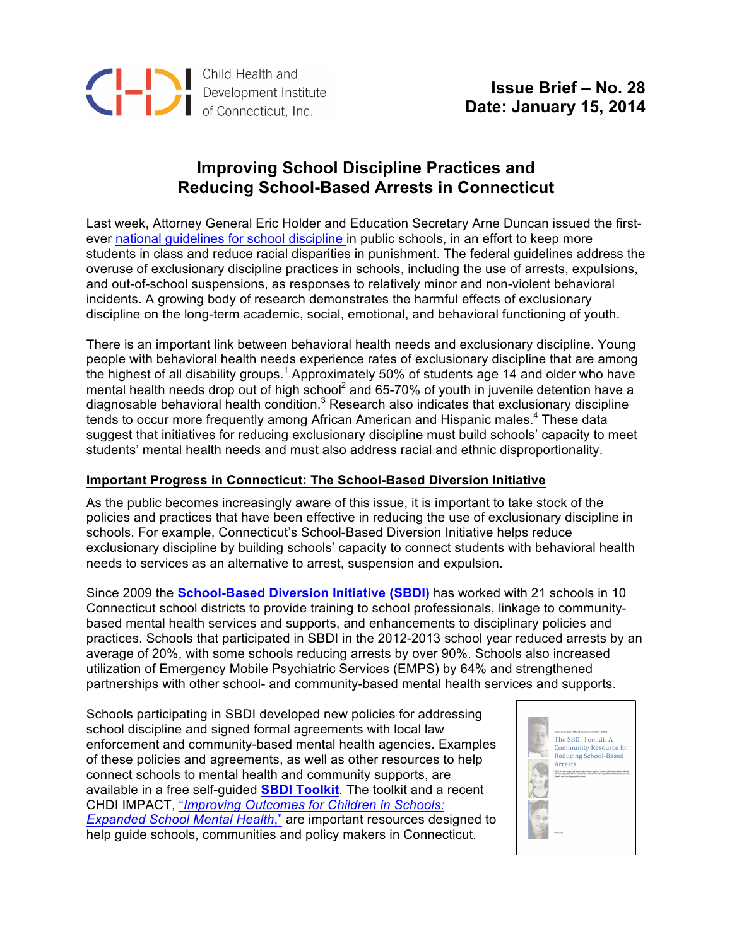

## **Improving School Discipline Practices and Reducing School-Based Arrests in Connecticut**

Last week, Attorney General Eric Holder and Education Secretary Arne Duncan issued the firstever national guidelines for school discipline in public schools, in an effort to keep more students in class and reduce racial disparities in punishment. The federal guidelines address the overuse of exclusionary discipline practices in schools, including the use of arrests, expulsions, and out-of-school suspensions, as responses to relatively minor and non-violent behavioral incidents. A growing body of research demonstrates the harmful effects of exclusionary discipline on the long-term academic, social, emotional, and behavioral functioning of youth.

There is an important link between behavioral health needs and exclusionary discipline. Young people with behavioral health needs experience rates of exclusionary discipline that are among the highest of all disability groups.<sup>1</sup> Approximately 50% of students age 14 and older who have mental health needs drop out of high school<sup>2</sup> and 65-70% of youth in juvenile detention have a diagnosable behavioral health condition.<sup>3</sup> Research also indicates that exclusionary discipline tends to occur more frequently among African American and Hispanic males.<sup>4</sup> These data suggest that initiatives for reducing exclusionary discipline must build schools' capacity to meet students' mental health needs and must also address racial and ethnic disproportionality.

## **Important Progress in Connecticut: The School-Based Diversion Initiative**

As the public becomes increasingly aware of this issue, it is important to take stock of the policies and practices that have been effective in reducing the use of exclusionary discipline in schools. For example, Connecticut's School-Based Diversion Initiative helps reduce exclusionary discipline by building schools' capacity to connect students with behavioral health needs to services as an alternative to arrest, suspension and expulsion.

Since 2009 the **School-Based Diversion Initiative (SBDI)** has worked with 21 schools in 10 Connecticut school districts to provide training to school professionals, linkage to communitybased mental health services and supports, and enhancements to disciplinary policies and practices. Schools that participated in SBDI in the 2012-2013 school year reduced arrests by an average of 20%, with some schools reducing arrests by over 90%. Schools also increased utilization of Emergency Mobile Psychiatric Services (EMPS) by 64% and strengthened partnerships with other school- and community-based mental health services and supports.

Schools participating in SBDI developed new policies for addressing school discipline and signed formal agreements with local law enforcement and community-based mental health agencies. Examples of these policies and agreements, as well as other resources to help connect schools to mental health and community supports, are available in a free self-guided **SBDI Toolkit**. The toolkit and a recent CHDI IMPACT, "*Improving Outcomes for Children in Schools: Expanded School Mental Health*," are important resources designed to help guide schools, communities and policy makers in Connecticut.